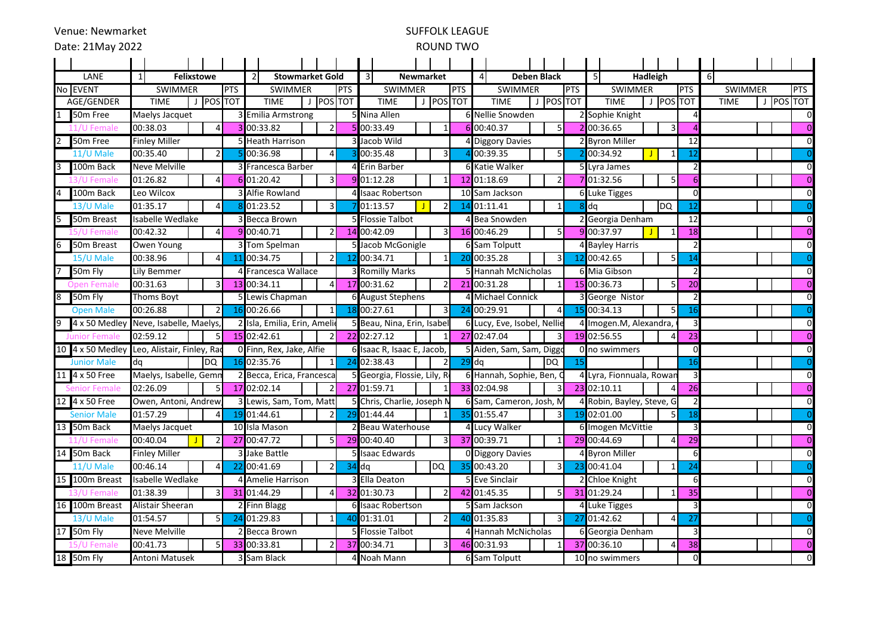# SUFFOLK LEAGUE

## ROUND TWO

|    | LANE                 | 1                            |                            | <b>Felixstowe</b> |                |                | $\overline{2}$     | <b>Stowmarket Gold</b>       |           |                 |                | 3I                         | <b>Newmarket</b>             |            |                |                        | 4                           | <b>Deben Black</b>      |                      | -51                       |                          | Hadleigh       |                |                 | -6          |             |                |                |
|----|----------------------|------------------------------|----------------------------|-------------------|----------------|----------------|--------------------|------------------------------|-----------|-----------------|----------------|----------------------------|------------------------------|------------|----------------|------------------------|-----------------------------|-------------------------|----------------------|---------------------------|--------------------------|----------------|----------------|-----------------|-------------|-------------|----------------|----------------|
|    | No EVENT             | <b>PTS</b><br><b>SWIMMER</b> |                            |                   |                | <b>SWIMMER</b> |                    |                              | PTS       |                 | <b>SWIMMER</b> |                            |                              | <b>PTS</b> |                | <b>SWIMMER</b>         | <b>PTS</b>                  |                         | <b>SWIMMER</b>       |                           |                          | <b>PTS</b>     | <b>SWIMMER</b> |                 |             | PTS         |                |                |
|    | AGE/GENDER           |                              | <b>TIME</b>                |                   | J POS TOT      |                |                    | <b>TIME</b>                  | J POS TOT |                 |                |                            | <b>TIME</b>                  |            | J POS TOT      |                        |                             | <b>TIME</b><br>$\perp$  | POS TOT              |                           | <b>TIME</b>              | J POS TOT      |                |                 | <b>TIME</b> |             |                | J POS TOT      |
|    | 50m Free             |                              | Maelys Jacquet             |                   |                |                | 3 Emilia Armstrong |                              |           |                 |                |                            | 5 Nina Allen                 |            |                |                        |                             | 6 Nellie Snowden        |                      |                           | 2 Sophie Knight          |                |                |                 |             |             |                | 0              |
|    | Femal                |                              | 00:38.03                   |                   | $\overline{a}$ |                |                    | 00:33.82                     |           | $\overline{2}$  |                |                            | 5 00:33.49                   |            | $\mathbf{1}$   |                        |                             | 6 00:40.37              | $\overline{5}$       |                           | 2 00:36.65               |                | $\overline{3}$ |                 |             |             |                | $\overline{0}$ |
|    | 50m Free             |                              | <b>Finley Miller</b>       |                   |                |                | 5 Heath Harrison   |                              |           |                 | 3 Jacob Wild   |                            |                              |            |                | <b>Diggory Davies</b>  |                             |                         | 2 Byron Miller<br>12 |                           |                          | $\mathbf 0$    |                |                 |             |             |                |                |
|    | 11/U Male            |                              | 00:35.40                   |                   | $\overline{2}$ |                |                    | 00:36.98                     |           | $\overline{4}$  |                |                            | 3 00:35.48                   |            | 3              |                        |                             | 00:39.35                | -5 I                 |                           | 200:34.92                | $\blacksquare$ |                | 12              |             |             |                | $\overline{0}$ |
|    | 100m Back            |                              | <b>Neve Melville</b>       |                   |                |                |                    | <b>BIFrancesca Barber</b>    |           |                 |                |                            | 4 Erin Barber                |            |                |                        |                             | <b>6 Katie Walker</b>   |                      |                           | 5 Lyra James             |                |                |                 |             |             |                | $\mathbf 0$    |
|    | emal                 |                              | 01:26.82                   |                   | 4              |                |                    | 6 01:20.42                   |           | $\overline{3}$  | 9              |                            | 01:12.28                     |            |                |                        |                             | 12 01:18.69             |                      |                           | 01:32.56                 |                | 5              | 6               |             |             |                | $\overline{0}$ |
|    | 100m Back            |                              | Leo Wilcox                 |                   |                |                |                    | Alfie Rowland                |           |                 |                |                            | <b>Isaac Robertson</b>       |            |                |                        |                             | 10 Sam Jackson          |                      |                           | <b>6 Luke Tigges</b>     |                | $\Omega$       |                 |             |             | 0              |                |
|    | 13/U Male            |                              | 01:35.17                   |                   |                |                |                    | 01:23.52                     |           | $\overline{3}$  |                |                            | 01:13.57                     |            | $\overline{2}$ | 14                     |                             | 01:11.41                | $\mathbf{1}$         | $8$ dq                    |                          |                | ldQ            | 12              |             |             |                | $\Omega$       |
|    | 50m Breast           |                              | <b>Isabelle Wedlake</b>    |                   |                |                |                    | Becca Brown                  |           |                 |                |                            | 5 Flossie Talbot             |            |                |                        | <b>Bea Snowden</b>          |                         |                      |                           | 12<br>2 Georgia Denham   |                |                |                 |             | $\mathbf 0$ |                |                |
|    |                      |                              | 00:42.32                   |                   |                |                |                    | 9 00:40.71                   |           | $\overline{2}$  |                |                            | 14 00:42.09                  |            | 3              |                        |                             | 16 00:46.29             | -5                   |                           | 9 00:37.97               |                |                | 18              |             |             |                | $\overline{0}$ |
|    | 50m Breast           |                              | Owen Young                 |                   |                |                |                    | 3 Tom Spelman                |           |                 |                | 5 Jacob McGonigle          |                              |            |                |                        | 6 Sam Tolputt               |                         |                      |                           | 4 Bayley Harris          |                |                |                 |             |             | $\mathbf 0$    |                |
|    | 15/U Male            |                              | 00:38.96                   |                   | $\overline{4}$ | 11             |                    | 00:34.75                     |           | $\overline{2}$  |                |                            | 12 00:34.71                  |            | $\mathbf{1}$   | 20                     |                             | 00:35.28                | 3                    |                           | 12 00:42.65              |                | 5 <sub>5</sub> | 14              |             |             |                | $\overline{0}$ |
|    | 50m Fly              |                              | Lily Bemmer                |                   |                |                |                    | 4 Francesca Wallace          |           |                 |                |                            | 3 Romilly Marks              |            |                |                        |                             | 5 Hannah McNicholas     |                      |                           | 6 Mia Gibson             |                |                | $\mathcal{P}$   |             |             |                | $\overline{0}$ |
|    | Open Female          |                              | 00:31.63                   |                   | 3              |                |                    | 13 00:34.11                  |           | $\overline{a}$  |                |                            | 17 00:31.62                  |            |                |                        |                             | 21 00:31.28             | -1                   |                           | 15 00:36.73              |                | 5              | $\overline{20}$ |             |             |                | $\overline{0}$ |
|    | 50m Fly              |                              | Thoms Boyt                 |                   |                |                |                    | 5 Lewis Chapman              |           |                 |                | 6 August Stephens          |                              |            |                | <b>Michael Connick</b> |                             |                         | 3 George Nistor      |                           |                          |                |                |                 |             | $\mathbf 0$ |                |                |
|    | <b>Open Male</b>     |                              | 00:26.88                   |                   | 2              | 16             |                    | 00:26.66                     |           | $\mathbf{1}$    |                |                            | 00:27.61                     |            | 3              | 24                     |                             | 00:29.91                | 4<br>-15             |                           | 00:34.13                 |                | 5              | 16              |             |             |                | $\overline{0}$ |
|    | 4 x 50 Medley        |                              | Neve, Isabelle, Maelys     |                   |                |                |                    | 2 Isla, Emilia, Erin, Amelio |           |                 |                |                            | 5 Beau, Nina, Erin, Isabel   |            |                |                        | 6 Lucy, Eve, Isobel, Nellie |                         |                      |                           | 4 Imogen.M, Alexandra,   |                |                | 3               |             |             |                | $\overline{0}$ |
|    | <b>Junior Female</b> |                              | 02:59.12                   |                   | 5              |                |                    | 15 02:42.61                  |           | $\overline{2}$  |                |                            | 22 02:27.12                  |            | 1              |                        |                             | 27 02:47.04             | 3                    |                           | 19 02:56.55              |                | $\Delta$       | $\overline{23}$ |             |             |                | $\overline{0}$ |
|    | 10 4 x 50 Medley     |                              | Leo, Alistair, Finley, Rao |                   |                |                |                    | 0 Finn, Rex, Jake, Alfie     |           |                 |                |                            | 6 Isaac R, Isaac E, Jacob,   |            |                |                        | 5 Aiden, Sam, Sam, Diggo    |                         |                      |                           | 0 no swimmers            |                | $\Omega$       |                 |             |             | $\mathbf 0$    |                |
|    | <b>Junior Male</b>   | da                           |                            |                   | <b>DQ</b>      |                |                    | 16 02:35.76                  |           | $\mathbf{1}$    | 24             |                            | 02:38.43                     |            | $\mathcal{P}$  | 29                     | <b>DQ</b><br>da             |                         | 15                   |                           |                          |                |                | 16              |             |             |                | $\overline{0}$ |
|    | 11 4 x 50 Free       |                              | Maelys, Isabelle, Gemn     |                   |                |                |                    | 2 Becca, Erica, Francesca    |           |                 |                |                            | 5 Georgia, Flossie, Lily, Ro |            |                |                        | 6 Hannah, Sophie, Ben, C    |                         |                      |                           | 4 Lyra, Fionnuala, Rowan |                |                | 3               |             |             |                | $\mathbf 0$    |
|    |                      |                              | 02:26.09                   |                   | 5 <sub>l</sub> |                |                    | 17 02:02.14                  |           | $\overline{2}$  |                |                            | 27 01:59.71                  |            | 1              |                        |                             | 33 02:04.98             | $\overline{3}$       |                           | 23 02:10.11              |                | $\overline{4}$ | 26              |             |             |                | $\overline{0}$ |
|    | 12 4 x 50 Free       |                              | Owen, Antoni, Andrew       |                   |                |                |                    | 3 Lewis, Sam, Tom, Matt      |           |                 |                | 5 Chris, Charlie, Joseph N |                              |            |                |                        | 6 Sam, Cameron, Josh, M     |                         |                      | 4 Robin, Bayley, Steve, G |                          |                |                |                 |             | $\mathbf 0$ |                |                |
|    | <b>Senior Male</b>   |                              | 01:57.29                   |                   | $\overline{4}$ |                |                    | 19 01:44.61                  |           | $\overline{2}$  | 29             |                            | 01:44.44                     |            |                | 35                     |                             | 01:55.47                | 3                    |                           | 19 02:01.00              |                | 5 <sup>1</sup> | 18              |             |             |                | $\overline{0}$ |
|    | 13 50m Back          |                              | Maelys Jacquet             |                   |                |                |                    | 10 Isla Mason                |           |                 |                |                            | 2 Beau Waterhouse            |            | 4              |                        | Lucy Walker                 |                         |                      | 6 Imogen McVittie         |                          |                |                |                 |             |             | 0              |                |
|    | mal                  |                              | 00:40.04                   |                   |                |                |                    | 27 00:47.72                  |           | 5 <sub>l</sub>  |                |                            | 29 00:40.40                  |            | 3              |                        |                             | 37 00:39.71             |                      |                           | 29 00:44.69              |                | $\overline{4}$ | 29              |             |             |                | $\overline{0}$ |
|    | 14 50m Back          |                              | Finley Miller              |                   |                |                |                    | <b>Jake Battle</b>           |           |                 |                |                            | <b>Isaac Edwards</b>         |            |                |                        |                             | <b>0 Diggory Davies</b> |                      |                           | 4 Byron Miller           |                |                | 6               |             |             |                | $\Omega$       |
|    | 11/U Male            |                              | 00:46.14                   |                   | Δ              | 22             |                    | 00:41.69                     |           | $\overline{2}$  |                | $34$ dq                    |                              |            | DQ             | 35                     |                             | 00:43.20                | 3                    |                           | 23 00:41.04              |                |                | 24              |             |             |                | $\Omega$       |
| 15 | 100m Breast          |                              | Isabelle Wedlake           |                   |                |                |                    | 4 Amelie Harrison            |           |                 |                |                            | 3 Ella Deaton                |            |                |                        |                             | 5 Eve Sinclair          |                      |                           | 2 Chloe Knight           |                |                |                 |             |             |                | $\mathbf 0$    |
|    |                      |                              | 01:38.39                   |                   | 3              |                |                    | 31 01:44.29                  |           | $\overline{a}$  |                |                            | 32 01:30.73                  |            | $\mathcal{P}$  |                        |                             | 42 01:45.35             | -5                   |                           | 31 01:29.24              |                |                | 35              |             |             |                | $\Omega$       |
|    | 16 100m Breast       |                              | Alistair Sheeran           |                   |                |                |                    | 2 Finn Blagg                 |           |                 |                |                            | 6 Isaac Robertson            |            |                |                        | 5 Sam Jackson               |                         |                      | 4 Luke Tigges             |                          |                | 3              |                 |             |             | $\overline{0}$ |                |
|    | 13/U Male            |                              | 01:54.57                   |                   | 5 <sub>l</sub> |                |                    | 24 01:29.83                  |           | $1\overline{ }$ |                |                            | 40 01:31.01                  |            | $\overline{2}$ | 40                     |                             | 01:35.83                | $\overline{3}$       |                           | 27 01:42.62              |                | $\overline{4}$ | 27              |             |             |                | $\overline{0}$ |
|    | 17 50m Fly           |                              | <b>Neve Melville</b>       |                   |                |                |                    | 2 Becca Brown                |           |                 |                |                            | 5 Flossie Talbot             |            |                |                        |                             | Hannah McNicholas       |                      |                           | 6 Georgia Denham         |                | $\overline{3}$ |                 |             |             | $\mathbf 0$    |                |
|    |                      |                              | 00:41.73                   |                   | 5 <sub>l</sub> |                |                    | 33 00:33.81                  |           | $\overline{2}$  |                |                            | 37 00:34.71                  |            |                |                        |                             | 46 00:31.93             |                      |                           | 37 00:36.10              |                | 4              | 38              |             |             |                | $\overline{0}$ |
|    | 18 50m Fly           | Antoni Matusek               |                            |                   |                |                |                    | 3 Sam Black                  |           |                 |                |                            | 4 Noah Mann                  |            |                |                        |                             | 6 Sam Tolputt           |                      |                           | 10 no swimmers           |                |                | $\Omega$        |             |             |                | $\Omega$       |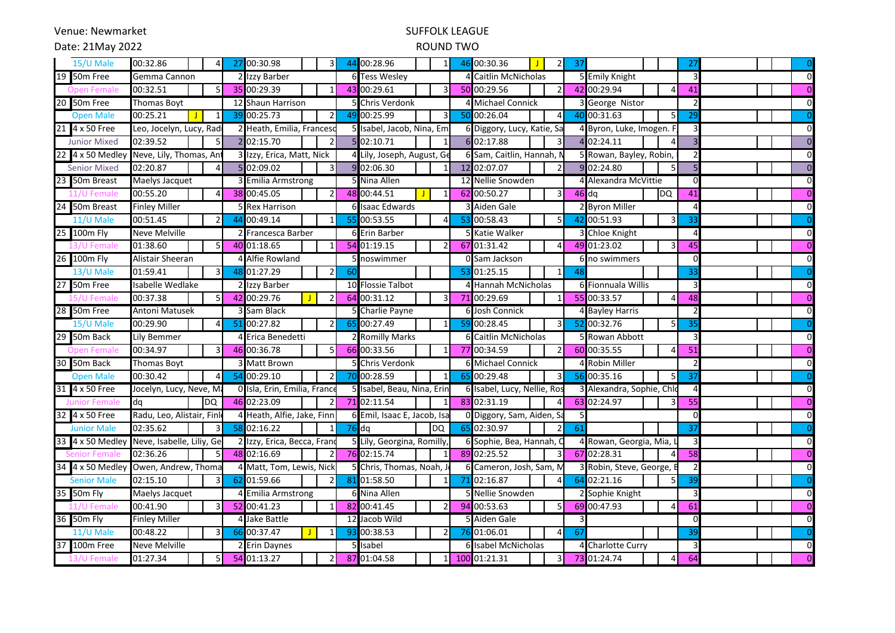Venue: Newmarket

### SUFFOLK LEAGUE

Date: 21May 2022

#### ROUND TWO

| 15/U Male           | 00:32.86                             |  | $\vert$   | 27 | 00:30.98                     |  | $\overline{3}$           | 44                       | 00:28.96                    | $\mathbf{1}$   | 46                        | 00:30.36<br>$\mathcal{P}$   | 37                      |                           | 27              | $\overline{0}$ |
|---------------------|--------------------------------------|--|-----------|----|------------------------------|--|--------------------------|--------------------------|-----------------------------|----------------|---------------------------|-----------------------------|-------------------------|---------------------------|-----------------|----------------|
| 19 50m Free         | Gemma Cannon                         |  |           |    | Izzy Barber                  |  |                          | 61                       | <b>Tess Wesley</b>          |                |                           | Caitlin McNicholas          |                         | 5 Emily Knight            | 3               | $\mathbf 0$    |
| Open Fema           | 00:32.51                             |  |           |    | 35 00:29.39                  |  |                          |                          | 43 00:29.61<br>3<br>50      |                | 00:29.56                  |                             | 42 00:29.94             | 41                        | $\Omega$        |                |
| 20 50m Free         | Thomas Boyt                          |  |           |    | 12 Shaun Harrison            |  |                          | <b>Chris Verdonk</b>     |                             |                | <b>Michael Connick</b>    |                             | 3 George Nistor         |                           | $\Omega$        |                |
| <b>Open Male</b>    | 00:25.21                             |  |           | 39 | 00:25.73                     |  | $\overline{\mathcal{L}}$ | 49                       | 00:25.99                    | $\overline{3}$ | 50                        | 00:26.04<br>$\Delta$        | 40                      | 00:31.63<br>5             | 29              | $\overline{0}$ |
| 21 4 x 50 Free      | Leo, Jocelyn, Lucy, Rad              |  |           |    | Heath, Emilia, Francesc      |  |                          |                          | 5 Isabel, Jacob, Nina, Emi  |                |                           | 6 Diggory, Lucy, Katie, Sa  |                         | 4 Byron, Luke, Imogen.    |                 | $\overline{0}$ |
| <b>Junior Mixed</b> | 02:39.52                             |  | 5         |    | 2 02:15.70                   |  | $\overline{\phantom{a}}$ |                          | 5 02:10.71<br>1             |                | 6 02:17.88                |                             | 4 02:24.11              |                           | $\overline{0}$  |                |
| 22 4 x 50 Medley    | Neve, Lily, Thomas, Ant              |  |           |    | Izzy, Erica, Matt, Nick      |  |                          | Lily, Joseph, August, Ge |                             |                | 6 Sam, Caitlin, Hannah, N |                             | 5 Rowan, Bayley, Robin, |                           | $\mathbf 0$     |                |
| <b>Senior Mixed</b> | 02:20.87                             |  | $\Lambda$ |    | 02:09.02                     |  |                          | q                        | 02:06.30                    | $\mathbf{1}$   |                           | 12 02:07.07                 |                         | 9 02:24.80<br>5           |                 | $\Omega$       |
| 23 50m Breast       | Maelys Jacquet                       |  |           |    | <b>Emilia Armstrong</b>      |  |                          |                          | Nina Allen                  |                |                           | 12 Nellie Snowden           |                         | Alexandra McVittie        | $\Omega$        | $\overline{0}$ |
|                     | 00:55.20                             |  |           |    | 38 00:45.05                  |  | $\overline{2}$           |                          | 48 00:44.51                 | 1              |                           | 62 00:50.27<br>3            | $46$ dq                 | DQ                        | 41              | $\Omega$       |
| 24 50m Breast       | <b>Finley Miller</b>                 |  |           |    | <b>Rex Harrison</b>          |  |                          |                          | Isaac Edwards               |                |                           | Aiden Gale                  |                         | 2 Byron Miller            |                 | $\Omega$       |
| 11/U Male           | 00:51.45                             |  |           | 44 | 00:49.14                     |  |                          |                          | 00:53.55                    | 4              | 53                        | 00:58.43                    | 42                      | 00:51.93                  | 33              | $\overline{0}$ |
| 25 100m Fly         | <b>Neve Melville</b>                 |  |           |    | Francesca Barber             |  | 61                       | <b>Erin Barber</b>       |                             |                | 5 Katie Walker            |                             | 3 Chloe Knight          | 4                         | $\overline{0}$  |                |
|                     | 01:38.60                             |  |           |    | 40 01:18.65                  |  |                          |                          | 54 01:19.15                 | $\mathfrak{p}$ | 67                        | 01:31.42<br>$\Delta$        |                         | 49 01:23.02               | 45              | $\Omega$       |
| 26 100m Fly         | Alistair Sheeran                     |  |           |    | <b>Alfie Rowland</b>         |  |                          | 51                       | noswimmer                   |                |                           | 0 Sam Jackson               |                         | 6 no swimmers             | $\Omega$        | $\mathbf 0$    |
| 13/U Male           | 01:59.41                             |  | 3         | 48 | 01:27.29                     |  | $\overline{2}$           | 60                       |                             |                | 53                        | 01:25.15<br>1               |                         |                           | 33              | $\overline{0}$ |
| 27 50m Free         | Isabelle Wedlake                     |  |           |    | Izzy Barber                  |  |                          |                          | 10 Flossie Talbot           |                |                           | 4 Hannah McNicholas         |                         | 6 Fionnuala Willis        | 3               | $\mathbf 0$    |
| Femal               | 00:37.38                             |  |           | 42 | 00:29.76                     |  |                          | 64                       | 00:31.12                    | 3              |                           | 71 00:29.69                 |                         | 55 00:33.57               | 48              | $\Omega$       |
| 28 50m Free         | <b>Antoni Matusek</b>                |  |           |    | Sam Black                    |  |                          |                          | Charlie Payne               |                | 6                         | Josh Connick                |                         | 4 Bayley Harris           |                 | $\Omega$       |
| 15/U Male           | 00:29.90                             |  |           | 51 | 00:27.82                     |  |                          | 65                       | 00:27.49                    | 1              | 59                        | 00:28.45                    | 52                      | 00:32.76                  | 35              | $\overline{0}$ |
| 29 50m Back         | Lily Bemmer                          |  |           |    | Erica Benedetti              |  |                          |                          | <b>Romilly Marks</b>        |                |                           | 6 Caitlin McNicholas        |                         | 5 Rowan Abbott            |                 | $\Omega$       |
| Open Fema           | 00:34.97                             |  |           | 46 | 00:36.78                     |  |                          |                          | 66 00:33.56                 | -1             |                           | 77 00:34.59                 |                         | 60 00:35.55               | 51              | $\Omega$       |
| 30 50m Back         | Thomas Boyt                          |  |           |    | <b>Matt Brown</b>            |  |                          | 51                       | <b>Chris Verdonk</b>        |                |                           | 6 Michael Connick           |                         | 4 Robin Miller            |                 | $\Omega$       |
| <b>Open Male</b>    | 00:30.42                             |  |           | 54 | 00:29.10                     |  | $\overline{\mathcal{L}}$ |                          | 00:28.59                    | $\mathbf{1}$   | 65                        | 00:29.48<br>$\mathbf{3}$    |                         | 56 00:35.16               | 37              | $\overline{0}$ |
| 31 4 x 50 Free      | Jocelyn, Lucy, Neve, Ma              |  |           |    | 0 Isla, Erin, Emilia, France |  |                          |                          | 5 Isabel, Beau, Nina, Erin  |                |                           | 6 Isabel, Lucy, Nellie, Ros |                         | 3 Alexandra, Sophie, Chlo | 4               | $\overline{0}$ |
| Junior<br>ma        | dq                                   |  | DQ        |    | 46 02:23.09                  |  | $\overline{2}$           |                          | 71 02:11.54                 | $\mathbf{1}$   |                           | 83 02:31.19<br>4            |                         | 63 02:24.97               | $\overline{55}$ | $\overline{0}$ |
| 32 4 x 50 Free      | Radu, Leo, Alistair, Finl            |  |           |    | Heath, Alfie, Jake, Finn     |  |                          |                          | 6 Emil, Isaac E, Jacob, Isa |                |                           | 0 Diggory, Sam, Aiden, Sa   |                         |                           | $\Omega$        | $\mathbf 0$    |
| <b>Junior Male</b>  | 02:35.62                             |  | 3         | 58 | 02:16.22                     |  | $\mathbf{1}$             | 76                       | dq                          | DQ             |                           | 65 02:30.97                 | 61                      |                           | 37              | $\overline{0}$ |
| 33 4 x 50 Medley    | Neve, Isabelle, Liliy, Ge            |  |           |    | Izzy, Erica, Becca, Frano    |  |                          |                          | Lily, Georgina, Romilly,    |                |                           | 6 Sophie, Bea, Hannah, C    |                         | 4 Rowan, Georgia, Mia,    | 3               | $\overline{0}$ |
|                     | 02:36.26                             |  |           |    | 48 02:16.69                  |  | $\overline{2}$           |                          | 76 02:15.74                 | $\mathbf{1}$   |                           | 89 02:25.52<br>3            |                         | 67 02:28.31               | 58              | $\Omega$       |
|                     | 34 4 x 50 Medley Owen, Andrew, Thoma |  |           |    | Matt, Tom, Lewis, Nick       |  |                          |                          | Chris, Thomas, Noah, J      |                |                           | Cameron, Josh, Sam, N       |                         | 3 Robin, Steve, George,   |                 | $\Omega$       |
| <b>Senior Male</b>  | 02:15.10                             |  |           | 62 | 01:59.66                     |  |                          |                          | 81 01:58.50                 | -1             | 71                        | 02:16.87                    |                         | 64 02:21.16               | 39              | $\overline{0}$ |
| 35 50m Fly          | Maelys Jacquet                       |  |           |    | <b>Emilia Armstrong</b>      |  |                          |                          | 6 Nina Allen                |                |                           | 5 Nellie Snowden            |                         | 2 Sophie Knight           | 3               | $\overline{0}$ |
|                     | 00:41.90                             |  |           |    | 52 00:41.23                  |  |                          |                          | 82 00:41.45                 | $\mathfrak{p}$ |                           | 94 00:53.63<br>5            |                         | 69 00:47.93               | 61              | $\Omega$       |
| 36 50m Fly          | <b>Finley Miller</b>                 |  |           |    | Jake Battle                  |  |                          |                          | 12 Jacob Wild               |                |                           | 5 Aiden Gale                |                         |                           | $\Omega$        | $\mathbf 0$    |
| 11/U Male           | 00:48.22                             |  |           | 66 | 00:37.47                     |  | $\mathbf{1}$             | 93                       | 00:38.53                    | 2              | 76                        | 01:06.01<br>$\Delta$        | 67                      |                           | 39              | $\overline{0}$ |
| 37 100m Free        | <b>Neve Melville</b>                 |  |           |    | 2 Erin Daynes                |  |                          | 5 <sub>l</sub>           | Isabel                      |                | 61                        | <b>Isabel McNicholas</b>    |                         | 4 Charlotte Curry         | 3               | 0              |
| 13/U Femal          | 01:27.34                             |  |           |    | 54 01:13.27                  |  |                          |                          | 87 01:04.58                 |                |                           | 100 01:21.31<br>3           |                         | 73 01:24.74               | 64              | $\Omega$       |